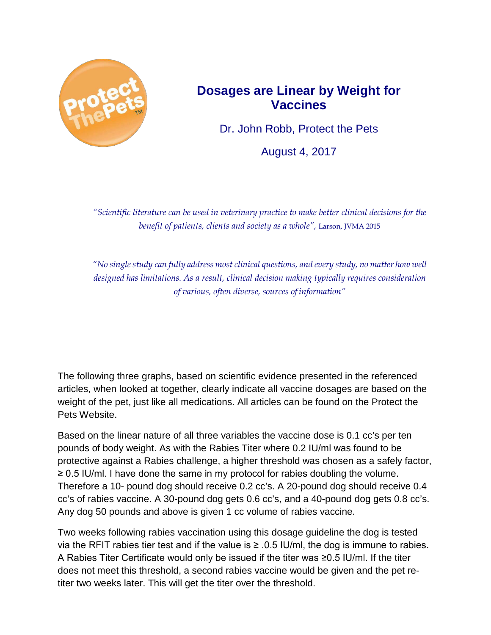

## **Dosages are Linear by Weight for Vaccines**

Dr. John Robb, Protect the Pets

August 4, 2017

*"Scientific literature can be used in veterinary practice to make better clinical decisions for the benefit of patients, clients and society as a whole",* Larson, JVMA 2015

*"No single study can fully address most clinical questions, and every study, no matter how well designed has limitations. As a result, clinical decision making typically requires consideration of various, often diverse, sources of information"*

The following three graphs, based on scientific evidence presented in the referenced articles, when looked at together, clearly indicate all vaccine dosages are based on the weight of the pet, just like all medications. All articles can be found on the Protect the Pets Website.

Based on the linear nature of all three variables the vaccine dose is 0.1 cc's per ten pounds of body weight. As with the Rabies Titer where 0.2 IU/ml was found to be protective against a Rabies challenge, a higher threshold was chosen as a safely factor, ≥ 0.5 IU/ml. I have done the same in my protocol for rabies doubling the volume. Therefore a 10- pound dog should receive 0.2 cc's. A 20-pound dog should receive 0.4 cc's of rabies vaccine. A 30-pound dog gets 0.6 cc's, and a 40-pound dog gets 0.8 cc's. Any dog 50 pounds and above is given 1 cc volume of rabies vaccine.

Two weeks following rabies vaccination using this dosage guideline the dog is tested via the RFIT rabies tier test and if the value is  $≥$  .0.5 IU/ml, the dog is immune to rabies. A Rabies Titer Certificate would only be issued if the titer was ≥0.5 IU/ml. If the titer does not meet this threshold, a second rabies vaccine would be given and the pet retiter two weeks later. This will get the titer over the threshold.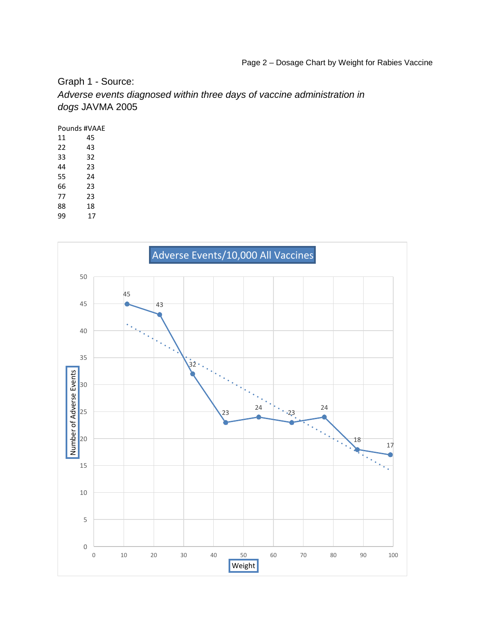Graph 1 - Source:

*Adverse events diagnosed within three days of vaccine administration in dogs* JAVMA 2005

Pounds #VAAE

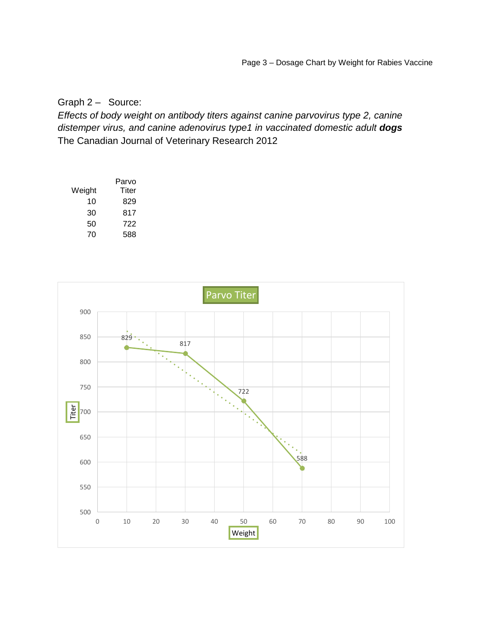## Graph 2 – Source:

*Effects of body weight on antibody titers against canine parvovirus type 2, canine distemper virus, and canine adenovirus type1 in vaccinated domestic adult dogs*  The Canadian Journal of Veterinary Research 2012

|        | Parvo |
|--------|-------|
| Weight | Titer |
| 10     | 829   |
| 30     | 817   |
| 50     | 722   |
| 70     | 588   |

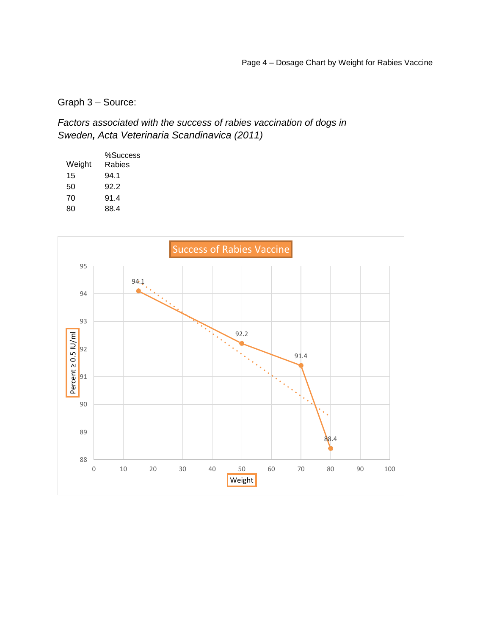Graph 3 – Source:

*Factors associated with the success of rabies vaccination of dogs in Sweden, Acta Veterinaria Scandinavica (2011)*

|        | %Success |
|--------|----------|
| Weight | Rabies   |
| 15     | 94.1     |
| 50     | 92.2     |
| 70     | 91.4     |
| 80     | 88.4     |
|        |          |

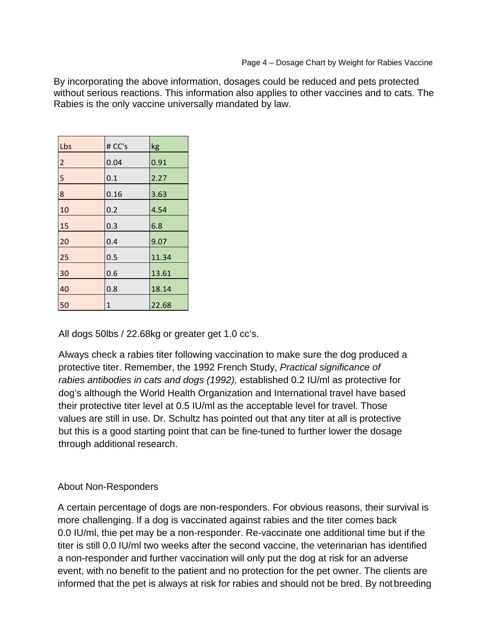By incorporating the above information, dosages could be reduced and pets protected without serious reactions. This information also applies to other vaccines and to cats. The Rabies is the only vaccine universally mandated by law.

| Lbs            | # CC's | kg    |
|----------------|--------|-------|
| $\overline{2}$ | 0.04   | 0.91  |
| $\overline{5}$ | 0.1    | 2.27  |
| 8              | 0.16   | 3.63  |
| 10             | 0.2    | 4.54  |
| 15             | 0.3    | 6.8   |
| 20             | 0.4    | 9.07  |
| 25             | 0.5    | 11.34 |
| 30             | 0.6    | 13.61 |
| 40             | 0.8    | 18.14 |
| 50             | 1      | 22.68 |

All dogs 50lbs / 22.68kg or greater get 1.0 cc's.

Always check a rabies titer following vaccination to make sure the dog produced a protective titer. Remember, the 1992 French Study, *Practical significance of rabies antibodies in cats and dogs (1992),* established 0.2 IU/ml as protective for dog's although the World Health Organization and International travel have based their protective titer level at 0.5 IU/ml as the acceptable level for travel. Those values are still in use. Dr. Schultz has pointed out that any titer at all is protective but this is a good starting point that can be fine-tuned to further lower the dosage through additional research.

## About Non-Responders

A certain percentage of dogs are non-responders. For obvious reasons, their survival is more challenging. If a dog is vaccinated against rabies and the titer comes back 0.0 IU/ml, thie pet may be a non-responder. Re-vaccinate one additional time but if the titer is still 0.0 IU/ml two weeks after the second vaccine, the veterinarian has identified a non-responder and further vaccination will only put the dog at risk for an adverse event, with no benefit to the patient and no protection for the pet owner. The clients are informed that the pet is always at risk for rabies and should not be bred. By not breeding